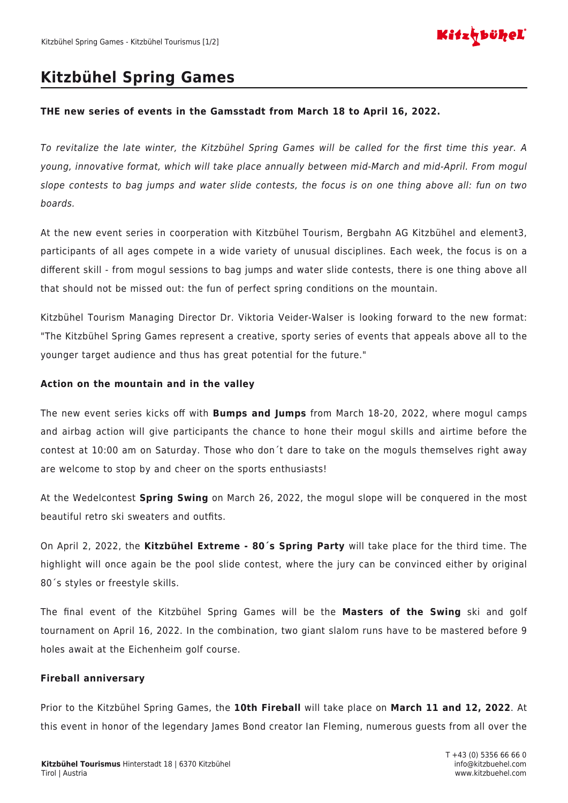

## **Kitzbühel Spring Games**

## **THE new series of events in the Gamsstadt from March 18 to April 16, 2022.**

To revitalize the late winter, the Kitzbühel Spring Games will be called for the first time this year. A young, innovative format, which will take place annually between mid-March and mid-April. From mogul slope contests to bag jumps and water slide contests, the focus is on one thing above all: fun on two boards.

At the new event series in coorperation with Kitzbühel Tourism, Bergbahn AG Kitzbühel and element3, participants of all ages compete in a wide variety of unusual disciplines. Each week, the focus is on a different skill - from mogul sessions to bag jumps and water slide contests, there is one thing above all that should not be missed out: the fun of perfect spring conditions on the mountain.

Kitzbühel Tourism Managing Director Dr. Viktoria Veider-Walser is looking forward to the new format: "The Kitzbühel Spring Games represent a creative, sporty series of events that appeals above all to the younger target audience and thus has great potential for the future."

## **Action on the mountain and in the valley**

The new event series kicks off with **Bumps and Jumps** from March 18-20, 2022, where mogul camps and airbag action will give participants the chance to hone their mogul skills and airtime before the contest at 10:00 am on Saturday. Those who don´t dare to take on the moguls themselves right away are welcome to stop by and cheer on the sports enthusiasts!

At the Wedelcontest **Spring Swing** on March 26, 2022, the mogul slope will be conquered in the most beautiful retro ski sweaters and outfits.

On April 2, 2022, the **Kitzbühel Extreme - 80´s Spring Party** will take place for the third time. The highlight will once again be the pool slide contest, where the jury can be convinced either by original 80´s styles or freestyle skills.

The final event of the Kitzbühel Spring Games will be the **Masters of the Swing** ski and golf tournament on April 16, 2022. In the combination, two giant slalom runs have to be mastered before 9 holes await at the Eichenheim golf course.

## **Fireball anniversary**

Prior to the Kitzbühel Spring Games, the **10th Fireball** will take place on **March 11 and 12, 2022**. At this event in honor of the legendary James Bond creator Ian Fleming, numerous guests from all over the